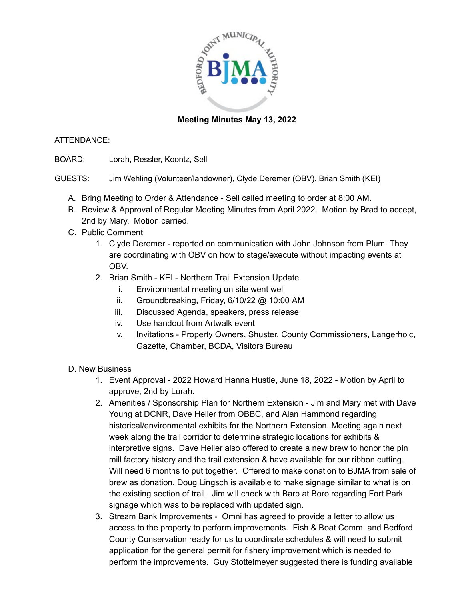

## **Meeting Minutes May 13, 2022**

## ATTENDANCE:

BOARD: Lorah, Ressler, Koontz, Sell

GUESTS: Jim Wehling (Volunteer/landowner), Clyde Deremer (OBV), Brian Smith (KEI)

- A. Bring Meeting to Order & Attendance Sell called meeting to order at 8:00 AM.
- B. Review & Approval of Regular Meeting Minutes from April 2022. Motion by Brad to accept, 2nd by Mary. Motion carried.
- C. Public Comment
	- 1. Clyde Deremer reported on communication with John Johnson from Plum. They are coordinating with OBV on how to stage/execute without impacting events at OBV.
	- 2. Brian Smith KEI Northern Trail Extension Update
		- i. Environmental meeting on site went well
		- ii. Groundbreaking, Friday, 6/10/22 @ 10:00 AM
		- iii. Discussed Agenda, speakers, press release
		- iv. Use handout from Artwalk event
		- v. Invitations Property Owners, Shuster, County Commissioners, Langerholc, Gazette, Chamber, BCDA, Visitors Bureau
- D. New Business
	- 1. Event Approval 2022 Howard Hanna Hustle, June 18, 2022 Motion by April to approve, 2nd by Lorah.
	- 2. Amenities / Sponsorship Plan for Northern Extension Jim and Mary met with Dave Young at DCNR, Dave Heller from OBBC, and Alan Hammond regarding historical/environmental exhibits for the Northern Extension. Meeting again next week along the trail corridor to determine strategic locations for exhibits & interpretive signs. Dave Heller also offered to create a new brew to honor the pin mill factory history and the trail extension & have available for our ribbon cutting. Will need 6 months to put together. Offered to make donation to BJMA from sale of brew as donation. Doug Lingsch is available to make signage similar to what is on the existing section of trail. Jim will check with Barb at Boro regarding Fort Park signage which was to be replaced with updated sign.
	- 3. Stream Bank Improvements Omni has agreed to provide a letter to allow us access to the property to perform improvements. Fish & Boat Comm. and Bedford County Conservation ready for us to coordinate schedules & will need to submit application for the general permit for fishery improvement which is needed to perform the improvements. Guy Stottelmeyer suggested there is funding available